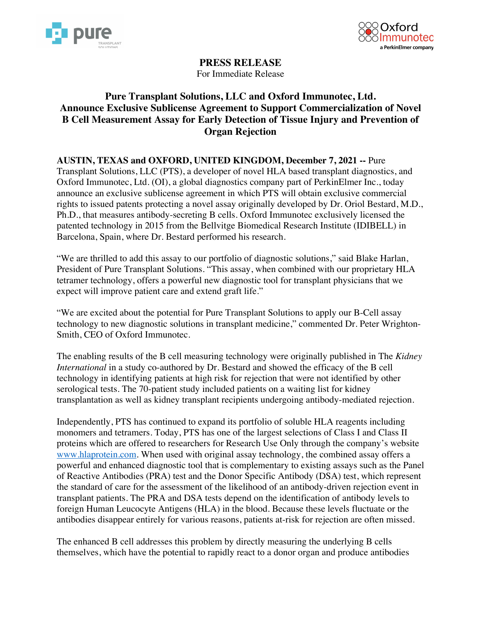



# **PRESS RELEASE**

For Immediate Release

## **Pure Transplant Solutions, LLC and Oxford Immunotec, Ltd. Announce Exclusive Sublicense Agreement to Support Commercialization of Novel B Cell Measurement Assay for Early Detection of Tissue Injury and Prevention of Organ Rejection**

**AUSTIN, TEXAS and OXFORD, UNITED KINGDOM, December 7, 2021 --** Pure Transplant Solutions, LLC (PTS), a developer of novel HLA based transplant diagnostics, and Oxford Immunotec, Ltd. (OI), a global diagnostics company part of PerkinElmer Inc., today announce an exclusive sublicense agreement in which PTS will obtain exclusive commercial rights to issued patents protecting a novel assay originally developed by Dr. Oriol Bestard, M.D., Ph.D., that measures antibody-secreting B cells. Oxford Immunotec exclusively licensed the patented technology in 2015 from the Bellvitge Biomedical Research Institute (IDIBELL) in Barcelona, Spain, where Dr. Bestard performed his research.

"We are thrilled to add this assay to our portfolio of diagnostic solutions," said Blake Harlan, President of Pure Transplant Solutions. "This assay, when combined with our proprietary HLA tetramer technology, offers a powerful new diagnostic tool for transplant physicians that we expect will improve patient care and extend graft life."

"We are excited about the potential for Pure Transplant Solutions to apply our B-Cell assay technology to new diagnostic solutions in transplant medicine," commented Dr. Peter Wrighton-Smith, CEO of Oxford Immunotec.

The enabling results of the B cell measuring technology were originally published in The *Kidney International* in a study co-authored by Dr. Bestard and showed the efficacy of the B cell technology in identifying patients at high risk for rejection that were not identified by other serological tests. The 70-patient study included patients on a waiting list for kidney transplantation as well as kidney transplant recipients undergoing antibody-mediated rejection.

Independently, PTS has continued to expand its portfolio of soluble HLA reagents including monomers and tetramers. Today, PTS has one of the largest selections of Class I and Class II proteins which are offered to researchers for Research Use Only through the company's website www.hlaprotein.com. When used with original assay technology, the combined assay offers a powerful and enhanced diagnostic tool that is complementary to existing assays such as the Panel of Reactive Antibodies (PRA) test and the Donor Specific Antibody (DSA) test, which represent the standard of care for the assessment of the likelihood of an antibody-driven rejection event in transplant patients. The PRA and DSA tests depend on the identification of antibody levels to foreign Human Leucocyte Antigens (HLA) in the blood. Because these levels fluctuate or the antibodies disappear entirely for various reasons, patients at-risk for rejection are often missed.

The enhanced B cell addresses this problem by directly measuring the underlying B cells themselves, which have the potential to rapidly react to a donor organ and produce antibodies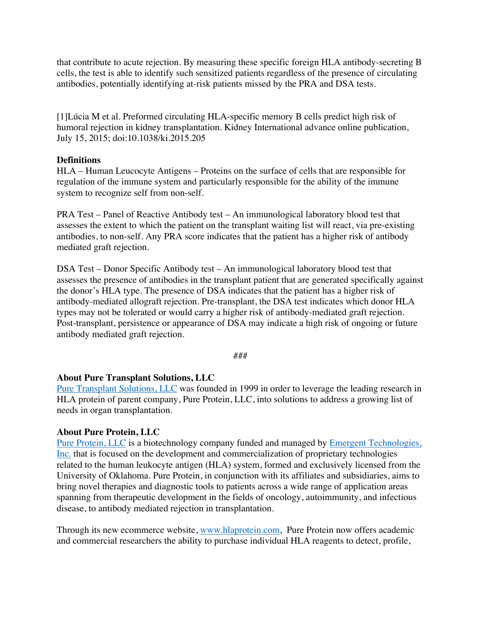that contribute to acute rejection. By measuring these specific foreign HLA antibody-secreting B cells, the test is able to identify such sensitized patients regardless of the presence of circulating antibodies, potentially identifying at-risk patients missed by the PRA and DSA tests.

[1]Lúcia M et al. Preformed circulating HLA-specific memory B cells predict high risk of humoral rejection in kidney transplantation. Kidney International advance online publication, July 15, 2015; doi:10.1038/ki.2015.205

### **Definitions**

HLA – Human Leucocyte Antigens – Proteins on the surface of cells that are responsible for regulation of the immune system and particularly responsible for the ability of the immune system to recognize self from non-self.

PRA Test – Panel of Reactive Antibody test – An immunological laboratory blood test that assesses the extent to which the patient on the transplant waiting list will react, via pre-existing antibodies, to non-self. Any PRA score indicates that the patient has a higher risk of antibody mediated graft rejection.

DSA Test – Donor Specific Antibody test – An immunological laboratory blood test that assesses the presence of antibodies in the transplant patient that are generated specifically against the donor's HLA type. The presence of DSA indicates that the patient has a higher risk of antibody-mediated allograft rejection. Pre-transplant, the DSA test indicates which donor HLA types may not be tolerated or would carry a higher risk of antibody-mediated graft rejection. Post-transplant, persistence or appearance of DSA may indicate a high risk of ongoing or future antibody mediated graft rejection.

#### ###

#### **About Pure Transplant Solutions, LLC**

Pure Transplant Solutions, LLC was founded in 1999 in order to leverage the leading research in HLA protein of parent company, Pure Protein, LLC, into solutions to address a growing list of needs in organ transplantation.

#### **About Pure Protein, LLC**

Pure Protein, LLC is a biotechnology company funded and managed by Emergent Technologies, Inc. that is focused on the development and commercialization of proprietary technologies related to the human leukocyte antigen (HLA) system, formed and exclusively licensed from the University of Oklahoma. Pure Protein, in conjunction with its affiliates and subsidiaries, aims to bring novel therapies and diagnostic tools to patients across a wide range of application areas spanning from therapeutic development in the fields of oncology, autoimmunity, and infectious disease, to antibody mediated rejection in transplantation.

Through its new ecommerce website, www.hlaprotein.com, Pure Protein now offers academic and commercial researchers the ability to purchase individual HLA reagents to detect, profile,